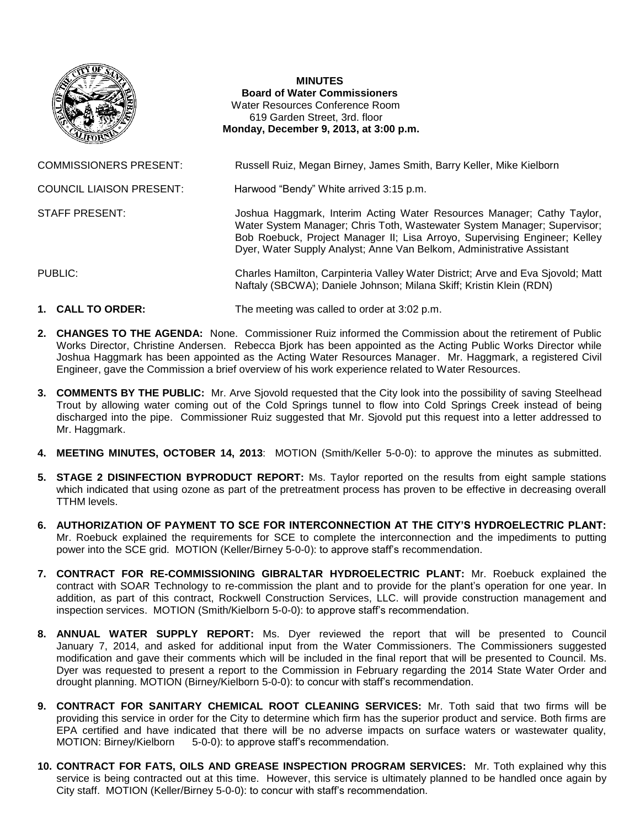

## **MINUTES Board of Water Commissioners** Water Resources Conference Room 619 Garden Street, 3rd. floor **Monday, December 9, 2013, at 3:00 p.m.**

COMMISSIONERS PRESENT: Russell Ruiz, Megan Birney, James Smith, Barry Keller, Mike Kielborn

Water System Manager; Chris Toth, Wastewater System Manager; Supervisor; Bob Roebuck, Project Manager II; Lisa Arroyo, Supervising Engineer; Kelley Dyer, Water Supply Analyst; Anne Van Belkom, Administrative Assistant

Naftaly (SBCWA); Daniele Johnson; Milana Skiff; Kristin Klein (RDN)

COUNCIL LIAISON PRESENT: Harwood "Bendy" White arrived 3:15 p.m.

STAFF PRESENT: Joshua Haggmark, Interim Acting Water Resources Manager; Cathy Taylor,

PUBLIC: Charles Hamilton, Carpinteria Valley Water District; Arve and Eva Sjovold; Matt

- **1. CALL TO ORDER:** The meeting was called to order at 3:02 p.m.
- **2. CHANGES TO THE AGENDA:** None. Commissioner Ruiz informed the Commission about the retirement of Public Works Director, Christine Andersen. Rebecca Bjork has been appointed as the Acting Public Works Director while Joshua Haggmark has been appointed as the Acting Water Resources Manager. Mr. Haggmark, a registered Civil Engineer, gave the Commission a brief overview of his work experience related to Water Resources.
- **3. COMMENTS BY THE PUBLIC:** Mr. Arve Sjovold requested that the City look into the possibility of saving Steelhead Trout by allowing water coming out of the Cold Springs tunnel to flow into Cold Springs Creek instead of being discharged into the pipe. Commissioner Ruiz suggested that Mr. Sjovold put this request into a letter addressed to Mr. Haggmark.
- **4. MEETING MINUTES, OCTOBER 14, 2013**: MOTION (Smith/Keller 5-0-0): to approve the minutes as submitted.
- **5. STAGE 2 DISINFECTION BYPRODUCT REPORT:** Ms. Taylor reported on the results from eight sample stations which indicated that using ozone as part of the pretreatment process has proven to be effective in decreasing overall TTHM levels.
- **6. AUTHORIZATION OF PAYMENT TO SCE FOR INTERCONNECTION AT THE CITY'S HYDROELECTRIC PLANT:**  Mr. Roebuck explained the requirements for SCE to complete the interconnection and the impediments to putting power into the SCE grid. MOTION (Keller/Birney 5-0-0): to approve staff's recommendation.
- **7. CONTRACT FOR RE-COMMISSIONING GIBRALTAR HYDROELECTRIC PLANT:** Mr. Roebuck explained the contract with SOAR Technology to re-commission the plant and to provide for the plant's operation for one year. In addition, as part of this contract, Rockwell Construction Services, LLC. will provide construction management and inspection services. MOTION (Smith/Kielborn 5-0-0): to approve staff's recommendation.
- **8. ANNUAL WATER SUPPLY REPORT:** Ms. Dyer reviewed the report that will be presented to Council January 7, 2014, and asked for additional input from the Water Commissioners. The Commissioners suggested modification and gave their comments which will be included in the final report that will be presented to Council. Ms. Dyer was requested to present a report to the Commission in February regarding the 2014 State Water Order and drought planning. MOTION (Birney/Kielborn 5-0-0): to concur with staff's recommendation.
- **9. CONTRACT FOR SANITARY CHEMICAL ROOT CLEANING SERVICES:** Mr. Toth said that two firms will be providing this service in order for the City to determine which firm has the superior product and service. Both firms are EPA certified and have indicated that there will be no adverse impacts on surface waters or wastewater quality, MOTION: Birney/Kielborn 5-0-0): to approve staff's recommendation.
- **10. CONTRACT FOR FATS, OILS AND GREASE INSPECTION PROGRAM SERVICES:** Mr. Toth explained why this service is being contracted out at this time. However, this service is ultimately planned to be handled once again by City staff. MOTION (Keller/Birney 5-0-0): to concur with staff's recommendation.